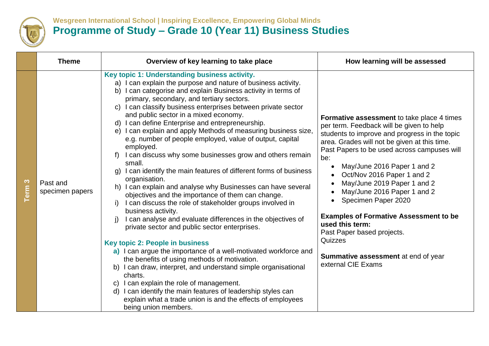

## **Wesgreen International School | Inspiring Excellence, Empowering Global Minds Programme of Study – Grade 10 (Year 11) Business Studies**

|           | <b>Theme</b>                | Overview of key learning to take place                                                                                                                                                                                                                                                                                                                                                                                                                                                                                                                                                                                                                                                                                                                                                                                                                                                                                                                                                                                                                                                                                                                                                                                                                                                                                                                                                                                                                                                     | How learning will be assessed                                                                                                                                                                                                                                                                                                                                                                                                                                                                                                                                             |
|-----------|-----------------------------|--------------------------------------------------------------------------------------------------------------------------------------------------------------------------------------------------------------------------------------------------------------------------------------------------------------------------------------------------------------------------------------------------------------------------------------------------------------------------------------------------------------------------------------------------------------------------------------------------------------------------------------------------------------------------------------------------------------------------------------------------------------------------------------------------------------------------------------------------------------------------------------------------------------------------------------------------------------------------------------------------------------------------------------------------------------------------------------------------------------------------------------------------------------------------------------------------------------------------------------------------------------------------------------------------------------------------------------------------------------------------------------------------------------------------------------------------------------------------------------------|---------------------------------------------------------------------------------------------------------------------------------------------------------------------------------------------------------------------------------------------------------------------------------------------------------------------------------------------------------------------------------------------------------------------------------------------------------------------------------------------------------------------------------------------------------------------------|
| S<br>Term | Past and<br>specimen papers | Key topic 1: Understanding business activity.<br>a) I can explain the purpose and nature of business activity.<br>I can categorise and explain Business activity in terms of<br>b)<br>primary, secondary, and tertiary sectors.<br>c) I can classify business enterprises between private sector<br>and public sector in a mixed economy.<br>d) I can define Enterprise and entrepreneurship.<br>e) I can explain and apply Methods of measuring business size,<br>e.g. number of people employed, value of output, capital<br>employed.<br>I can discuss why some businesses grow and others remain<br>$f$ )<br>small.<br>I can identify the main features of different forms of business<br>organisation.<br>h) I can explain and analyse why Businesses can have several<br>objectives and the importance of them can change.<br>I can discuss the role of stakeholder groups involved in<br>i)<br>business activity.<br>I can analyse and evaluate differences in the objectives of<br>j)<br>private sector and public sector enterprises.<br><b>Key topic 2: People in business</b><br>a) I can argue the importance of a well-motivated workforce and<br>the benefits of using methods of motivation.<br>b) I can draw, interpret, and understand simple organisational<br>charts.<br>c) I can explain the role of management.<br>d) I can identify the main features of leadership styles can<br>explain what a trade union is and the effects of employees<br>being union members. | Formative assessment to take place 4 times<br>per term. Feedback will be given to help<br>students to improve and progress in the topic<br>area. Grades will not be given at this time.<br>Past Papers to be used across campuses will<br>be:<br>May/June 2016 Paper 1 and 2<br>Oct/Nov 2016 Paper 1 and 2<br>May/June 2019 Paper 1 and 2<br>May/June 2016 Paper 1 and 2<br>Specimen Paper 2020<br><b>Examples of Formative Assessment to be</b><br>used this term:<br>Past Paper based projects.<br>Quizzes<br>Summative assessment at end of year<br>external CIE Exams |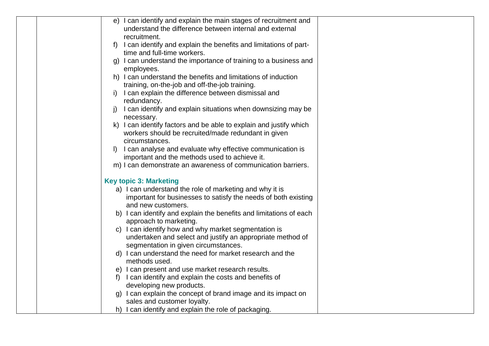|  |    | e) I can identify and explain the main stages of recruitment and   |  |
|--|----|--------------------------------------------------------------------|--|
|  |    | understand the difference between internal and external            |  |
|  |    | recruitment.                                                       |  |
|  |    | I can identify and explain the benefits and limitations of part-   |  |
|  |    | time and full-time workers.                                        |  |
|  |    | g) I can understand the importance of training to a business and   |  |
|  |    | employees.                                                         |  |
|  |    | h) I can understand the benefits and limitations of induction      |  |
|  |    | training, on-the-job and off-the-job training.                     |  |
|  |    | I can explain the difference between dismissal and                 |  |
|  |    | redundancy.                                                        |  |
|  |    | I can identify and explain situations when downsizing may be       |  |
|  |    | necessary.                                                         |  |
|  |    | k) I can identify factors and be able to explain and justify which |  |
|  |    | workers should be recruited/made redundant in given                |  |
|  |    | circumstances.                                                     |  |
|  |    | I can analyse and evaluate why effective communication is          |  |
|  |    | important and the methods used to achieve it.                      |  |
|  |    | m) I can demonstrate an awareness of communication barriers.       |  |
|  |    | <b>Key topic 3: Marketing</b>                                      |  |
|  |    | a) I can understand the role of marketing and why it is            |  |
|  |    | important for businesses to satisfy the needs of both existing     |  |
|  |    | and new customers.                                                 |  |
|  |    | b) I can identify and explain the benefits and limitations of each |  |
|  |    | approach to marketing.                                             |  |
|  |    | c) I can identify how and why market segmentation is               |  |
|  |    | undertaken and select and justify an appropriate method of         |  |
|  |    | segmentation in given circumstances.                               |  |
|  |    | d) I can understand the need for market research and the           |  |
|  |    | methods used.                                                      |  |
|  |    | e) I can present and use market research results.                  |  |
|  | T) | I can identify and explain the costs and benefits of               |  |
|  |    | developing new products.                                           |  |
|  |    | g) I can explain the concept of brand image and its impact on      |  |
|  |    | sales and customer loyalty.                                        |  |
|  |    | h) I can identify and explain the role of packaging.               |  |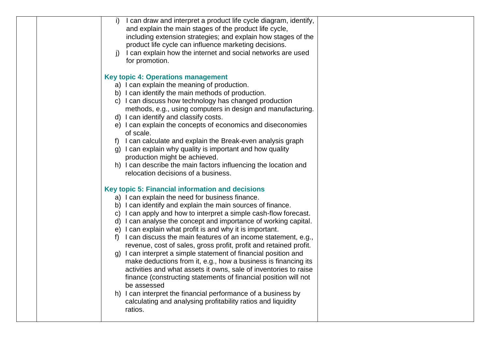|  | I can draw and interpret a product life cycle diagram, identify,<br>i)<br>and explain the main stages of the product life cycle,<br>including extension strategies; and explain how stages of the<br>product life cycle can influence marketing decisions.<br>I can explain how the internet and social networks are used<br>j)<br>for promotion.                                                                                                                                                                                                                                                                                                                                                                                                                                                                                                                                                                                                    |  |
|--|------------------------------------------------------------------------------------------------------------------------------------------------------------------------------------------------------------------------------------------------------------------------------------------------------------------------------------------------------------------------------------------------------------------------------------------------------------------------------------------------------------------------------------------------------------------------------------------------------------------------------------------------------------------------------------------------------------------------------------------------------------------------------------------------------------------------------------------------------------------------------------------------------------------------------------------------------|--|
|  | <b>Key topic 4: Operations management</b><br>a) I can explain the meaning of production.<br>b) I can identify the main methods of production.<br>c) I can discuss how technology has changed production<br>methods, e.g., using computers in design and manufacturing.<br>d) I can identify and classify costs.<br>e) I can explain the concepts of economics and diseconomies<br>of scale.<br>I can calculate and explain the Break-even analysis graph<br>f)<br>g) I can explain why quality is important and how quality<br>production might be achieved.<br>h) I can describe the main factors influencing the location and<br>relocation decisions of a business.                                                                                                                                                                                                                                                                               |  |
|  | Key topic 5: Financial information and decisions<br>a) I can explain the need for business finance.<br>b) I can identify and explain the main sources of finance.<br>c) I can apply and how to interpret a simple cash-flow forecast.<br>d) I can analyse the concept and importance of working capital.<br>e) I can explain what profit is and why it is important.<br>f) I can discuss the main features of an income statement, e.g.,<br>revenue, cost of sales, gross profit, profit and retained profit.<br>g) I can interpret a simple statement of financial position and<br>make deductions from it, e.g., how a business is financing its<br>activities and what assets it owns, sale of inventories to raise<br>finance (constructing statements of financial position will not<br>be assessed<br>h) I can interpret the financial performance of a business by<br>calculating and analysing profitability ratios and liquidity<br>ratios. |  |